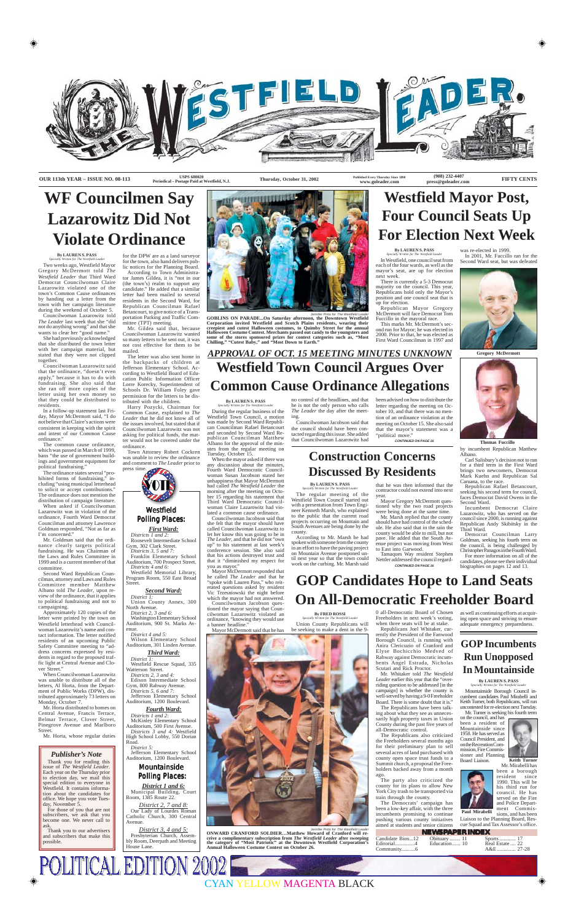

Jennifer Pinto for The Westfield Lead



**Periodical – Postage Paid at Westfield, N.J.**

**Thursday, October 31, 2002** 

**Published Every Thursday Since 1890 www.goleader.com**

**NEWSPAPER INDEX** Candidate Bios...12 Editorial..............4 Community..........6 Obituary ........ 11 Education ...... 10

Sports ............ 17 Real Estate .... 22 A&E .............. 27-28

**Thomas Fuccillo**

Washington Elementary School Auditorium, 900 St. Marks Avenue.

**Gregory McDermott**

### *Westfield Polling Places: olling Places:*

*First Ward: Districts 1 and 2:* Roosevelt Intermediate School

Gym, 302 Clark Street. *Districts 3, 5 and 7:* Franklin Elementary School

Auditorium, 700 Prospect Street. *Districts 4 and 6:*

Westfield Memorial Library, Program Room, 550 East Broad Street.

#### *Second Ward:*

*District 1:* Union County Annex, 300 North Avenue. *District 2, 3 and 6:*

*District 4 and 5:* Wilson Elementary School Auditorium, 301 Linden Avenue.

*Third Ward:*

*District 1:* Westfield Rescue Squad, 335 Watterson Street. *Districts 2, 3 and 4:* Edison Intermediate School Gym, 800 Rahway Avenue. *Districts 5, 6 and 7:* Jefferson Elementary School Auditorium, 1200 Boulevard.

#### *Fourth Ward:*

*Districts 1 and 2:* McKinley Elementary School Auditorium, 500 First Avenue. *Districts 3 and 4:* Westfield High School Lobby, 550 Dorian Road.

*District 5:* Jefferson Elementary School Auditorium, 1200 Boulevard.

### *Mountainside Polling Places: olling Places:*

*District 1 and 6:* Municipal Building, Court Room, 1385 Route 22.

*District 2, 7 and 8:* Our Lady of Lourdes Roman Catholic Church, 300 Central Avenue.

*District 3, 4 and 5:* Presbyterian Church, Assembly Room, Deerpath and Meeting House Lane.

**POLITICAL EDITION 2002** 

Jennifer Pinto for The Westfield Leader **ONWARD CRANFORD SOLDIER…Matthew Howard of Cranford will receive a complimentary subscription from** *The Westfield Leader* **after sweeping the category of "Most Patriotic" at the Downtown Westfield Corporation's Annual Halloween Costume Contest on October 26.**

Approximately 120 copies of the letter were printed by the town on Westfield letterhead with Councilwoman Lazarowitz's name and contact information. The letter notified residents of an upcoming Public Safety Committee meeting to "address concerns expressed by residents in regard to the proposed traffic light at Central Avenue and Clover Street.'

# **WF Councilmen Say Lazarowitz Did Not Violate Ordinance**

#### **By LAUREN S. PASS** *Specially Written for The Westfield Leader*

Two weeks ago, Westfield Mayor Gregory McDermott told *The Westfield Leader* that Third Ward Democrat Councilwoman Claire Lazarowitz violated one of the town's Common Cause ordinances by handing out a letter from the town with her campaign literature during the weekend of October 5.

Councilwoman Lazarowitz told *The Leader* last week that she "did not do anything wrong" and that she wants to clear her "good name."

She had previously acknowledged that she distributed the town letter with her campaign material, but stated that they were not clipped together.

Councilwoman Lazarowitz said that the ordinance, "doesn't even apply," because it has to do with fundraising. She also said that she ran off more copies of the letter using her own money so that they could be distributed to residents.

In a follow-up statement last Friday, Mayor McDermott said, "I do not believe that Claire's actions were consistent in keeping with the spirit and intent of our Common Cause ordinance."

The common cause ordinance, which was passed in March of 1999, bans "the use of government buildings and government equipment for political fundraising."

The ordinance states several "prohibited forms of fundraising," in-

cluding "using municipal letterhead to solicit or accept contributions.' The ordinance does not mention the distribution of campaign literature.

When asked if Councilwoman Lazarowitz was in violation of the ordinance, Fourth Ward Democrat Councilman and attorney Lawrence Goldman responded, "Not as far as I'm concerned."

Mr. Goldman said that the ordinance clearly targets political fundraising. He was Chairman of the Laws and Rules Committee in 1999 and is a current member of that committee.

Second Ward Republican Councilman, attorney and Laws and Rules Committee member Matthew Albano told *The Leader*, upon review of the ordinance, that it applies to political fundraising and not to campaigning.

When Councilwoman Lazarowitz was unable to distribute all of the letters, Al Horta, from the Department of Public Works (DPW), distributed approximately 73 letters on Monday, October 7.

Mr. Horta distributed to homes on Central Avenue, Francis Terrace, Belmar Terrace, Clover Street, Pinegrove Avenue and Marlboro Street.

Mr. Horta, whose regular duties

for the DPW are as a land surveyor for the town, also hand delivers public notices for the Planning Board. According to Town Administrator James Gildea, it is "not in our (the town's) realm to support any candidate." He added that a similar letter had been mailed to several residents in the Second Ward, for Republican Councilman Rafael Betancourt, to give notice of a Transportation Parking and Traffic Committee (TPT) meeting.

Mr. Gildea said that, because Councilwoman Lazarowitz wanted so many letters to be sent out, it was not cost effective for them to be mailed.

The letter was also sent home in the backpacks of children at Jefferson Elementary School. According to Westfield Board of Education Public Information Officer Lorre Korecky, Superintendent of Schools Dr. William Foley gave permission for the letters to be distributed with the children.

Harry Pozycki, Chairman for Common Cause, explained to *The Leader* that he did not know all of the issues involved, but stated that if Councilwoman Lazarowitz was not asking for political funds, the matter would not be covered under the ordinance.

Town Attorney Robert Cockren was unable to review the ordinance and comment to *The Leader* prior to press time.

# **Westfield Mayor Post, Four Council Seats Up For Election Next Week**

**By LAUREN S. PASS** *Specially Written for The Westfield Leader*

In Westfield, one council seat from each of the four wards, as well as the mayor's seat, are up for election next week.

There is currently a 5-3 Democrat majority on the council. This year, Republicans hold only the Mayor's position and one council seat that is up for election.

Republican Mayor Gregory McDermott will face Democrat Tom Fuccillo in the mayoral race.

This marks Mr. McDermott's second run for Mayor; he was elected in 2000. Prior to that, he was elected as First Ward Councilman in 1997 and

was re-elected in 1999. In 2001, Mr. Fuccillo ran for the Second Ward seat, but was defeated



by incumbent Republican Matthew Albano.

Carl Salisbury's decision not to run for a third term in the First Ward brings two newcomers, Democrat Mark Kuehn and Republican Sal

Caruana, to the race.

Republican Rafael Betancourt, seeking his second term for council, faces Democrat David Owens in the Second Ward.

Incumbent Democrat Claire Lazarowitz, who has served on the council since 2000, is running against Republican Andy Skibitsky in the Third Ward.

Democrat Councilman Larry Goldman, seeking his fourth term on the council, is being challenged by Christopher Panagos in the Fourth Ward. For more information on all of the

candidates, please see their individual biographies on pages 12 and 13.

## **GOP Candidates Hope to Land Seats On All-Democratic Freeholder Board**

0 all-Democratic Board of Chosen Freeholders in next week's voting, when three seats will be at stake.

Republicans Joel Whitaker, currently the President of the Fanwood Borough Council, is running with Anira Clericuzio of Cranford and Elyse Bochicchio Medved of Rahway against Democratic incumbents Angel Estrada, Nicholas Scutari and Rick Proctor.

Mr. Whitaker told *The Westfield Leader* earlier this year that the "overriding question to be addressed [in the campaign] is whether the county is well-served by having a 9-0 Freeholder Board. There is some doubt that it is."

The Republicans have been talking about what they see as unnecessarily high property taxes in Union County during the past five years of all-Democratic control.

The Republicans also criticized the Freeholders several months ago for their preliminary plan to sell several acres of land purchased with county open space trust funds to a Summit church, a proposal the Freeholders backed away from a month ago.

The party also criticized the county for its plans to allow New York City trash to be transported via train through the county.

The Democrats' campaign has been a low-key affair, with the three incumbents promising to continue pushing various county initiatives aimed at students and senior citizens as well as continuing efforts at acquiring open space and striving to ensure adequate emergency preparedness.

## *APPROVAL OF OCT. 15 MEETING MINUTES UNKNOWN* **Westfield Town Council Argues Over Common Cause Ordinance Allegations**

#### **By LAUREN S. PASS** *Specially Written for The Westfield Leader*

During the regular business of the Westfield Town Council, a motion was made by Second Ward Republican Councilman Rafael Betancourt and seconded by Second Ward Republican Councilman Matthew Albano for the approval of the minutes from the regular meeting on

**By FRED ROSSI** *Specially Written for The Westfield Leader* Union County Republicans will be seeking to make a dent in the 9- Tuesday, October 15. When the mayor asked if there was any discussion about the minutes, Fourth Ward Democratic Councilwoman Susan Jacobson stated her unhappiness that Mayor McDermott had called *The Westfield Leader* the morning after the meeting on October 15 regarding his statement that Third Ward Democratic Councilwoman Claire Lazarowitz had violated a common cause ordinance. Councilwoman Jacobson said that she felt that the mayor should have called Councilwoman Lazarowitz to let her know this was going to be in *The Leader*, and that he did not "own up" to his statement at last week's conference session. She also said that his actions destroyed trust and that it "diminished my respect for you as mayor." Mayor McDermott responded that he called *The Leader* and that he "spoke with Lauren Pass," who reiterated questions asked by resident Vic Trzesniowski the night before which the mayor had not answered. Councilwoman Jacobson questioned the mayor saying that Councilwoman Lazarowitz violated an ordinance, "knowing they would use a banner headline." Mayor McDermott said that he has **By LAUREN S. PASS** *Specially Written for The Westfield Leader* The regular meeting of the Westfield Town Council started out with a presentation from Town Engineer Kenneth Marsh, who explained to the public that the current road projects occurring on Mountain and South Avenues are being done by the county. According to Mr. Marsh he had spoken with someone from the county in an effort to have the paving project on Mountain Avenue postponed until next year so that the town could work on the curbing. Mr. Marsh said

no control of the headlines, and that he is not the only person who calls *The Leader* the day after the meeting.

Councilwoman Jacobson said that the council should have been contacted regarding this issue. She added that Councilwoman Lazarowitz had

been advised on how to distribute the letter regarding the meeting on October 10, and that there was no mention of an ordinance violation at the meeting on October 15. She also said that the mayor's statement was a "political move."

### **GOP Incumbents Run Unopposed In Mountainside**

**By LAUREN S. PASS** *Specially Written for The Westfield Leader*

Mountainside Borough Council incumbent candidates Paul Mirabelli and Keith Turner, both Republicans, will run uncontested for re-election next Tuesday. Mr. Turner is seeking his fourth term

on the council, and has been a resident of Mountainside since 1958. He has served as Council President, and on the Recreation Commission, Fire Commissioner and Planning Board Liaison.





Mr. Mirabelli has been a borough resident since 1990. This will be his third run for council. He has served on the Fire and Police Department Commissions, and has been **Keith Turner Paul Mirabelli**

Liaison to the Planning Board, Rescue Squad and Tax Assessor's office.

**CONTINUED ON PAGE 16**

### **Construction Concerns Discussed By Residents**

**CONTINUED ON PAGE 16** Tamaques Way resident Stephen Nettler addressed the council regard-

that he was then informed that the contractor could not extend into next year.

Mayor Gregory McDermott questioned why the two road projects were being done at the same time.

Mr. Marsh replied that the county should have had control of the schedule. He also said that in the rain the county would be able to mill, but not pave. He added that the South Avenue project was moving from West to East into Garwood.

**GOBLINS ON PARADE...On Saturday afternoon, the Downtown Westfield Corporation invited Westfield and Scotch Plains residents, wearing their creepiest and cutest Halloween costumes, to Quimby Street for the annual Halloween Costume Contest. Merchants passed out candy to the youngsters and some of the stores sponsored prizes for contest categories such as, "Most Chilling," "Cutest Baby," and "Most Down to Earth."**

#### *Publisher's Note*

Thank you for reading this issue of *The Westfield Leader*. Each year on the Thursday prior to election day, we mail this special edition to everyone in Westfield. It contains information about the candidates for office. We hope you vote Tuesday, November 5.

For those of you that are not subscribers, we ask that you become one. We never call to ask.

Thank you to our advertisers and subscribers that make this possible.